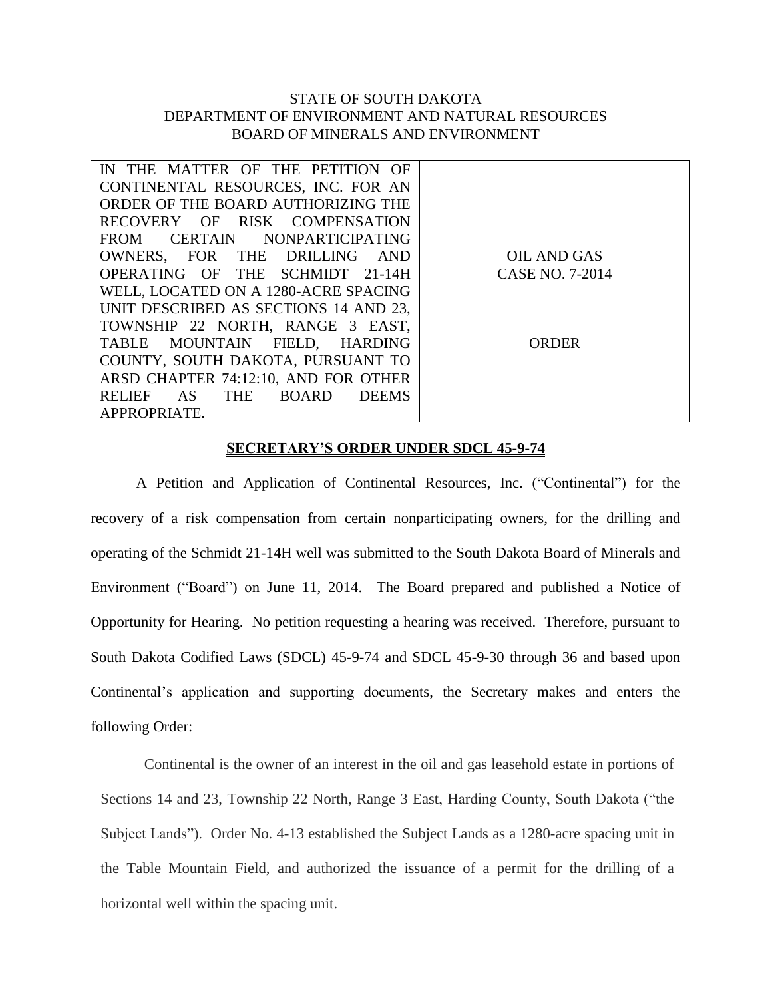## STATE OF SOUTH DAKOTA DEPARTMENT OF ENVIRONMENT AND NATURAL RESOURCES BOARD OF MINERALS AND ENVIRONMENT

| IN THE MATTER OF THE PETITION OF                 |                 |
|--------------------------------------------------|-----------------|
| CONTINENTAL RESOURCES, INC. FOR AN               |                 |
| ORDER OF THE BOARD AUTHORIZING THE               |                 |
| RECOVERY OF RISK COMPENSATION                    |                 |
| FROM CERTAIN NONPARTICIPATING                    |                 |
| OWNERS, FOR THE DRILLING AND                     | OIL AND GAS     |
| OPERATING OF THE SCHMIDT 21-14H                  | CASE NO. 7-2014 |
| WELL, LOCATED ON A 1280-ACRE SPACING             |                 |
| UNIT DESCRIBED AS SECTIONS 14 AND 23,            |                 |
| TOWNSHIP 22 NORTH, RANGE 3 EAST,                 |                 |
| TABLE MOUNTAIN FIELD, HARDING                    | ORDER           |
| COUNTY, SOUTH DAKOTA, PURSUANT TO                |                 |
| ARSD CHAPTER 74:12:10, AND FOR OTHER             |                 |
| AS<br>THE BOARD<br><b>RELIEF</b><br><b>DEEMS</b> |                 |
| APPROPRIATE.                                     |                 |

## **SECRETARY'S ORDER UNDER SDCL 45-9-74**

A Petition and Application of Continental Resources, Inc. ("Continental") for the recovery of a risk compensation from certain nonparticipating owners, for the drilling and operating of the Schmidt 21-14H well was submitted to the South Dakota Board of Minerals and Environment ("Board") on June 11, 2014. The Board prepared and published a Notice of Opportunity for Hearing. No petition requesting a hearing was received. Therefore, pursuant to South Dakota Codified Laws (SDCL) 45-9-74 and SDCL 45-9-30 through 36 and based upon Continental's application and supporting documents, the Secretary makes and enters the following Order:

Continental is the owner of an interest in the oil and gas leasehold estate in portions of Sections 14 and 23, Township 22 North, Range 3 East, Harding County, South Dakota ("the Subject Lands"). Order No. 4-13 established the Subject Lands as a 1280-acre spacing unit in the Table Mountain Field, and authorized the issuance of a permit for the drilling of a horizontal well within the spacing unit.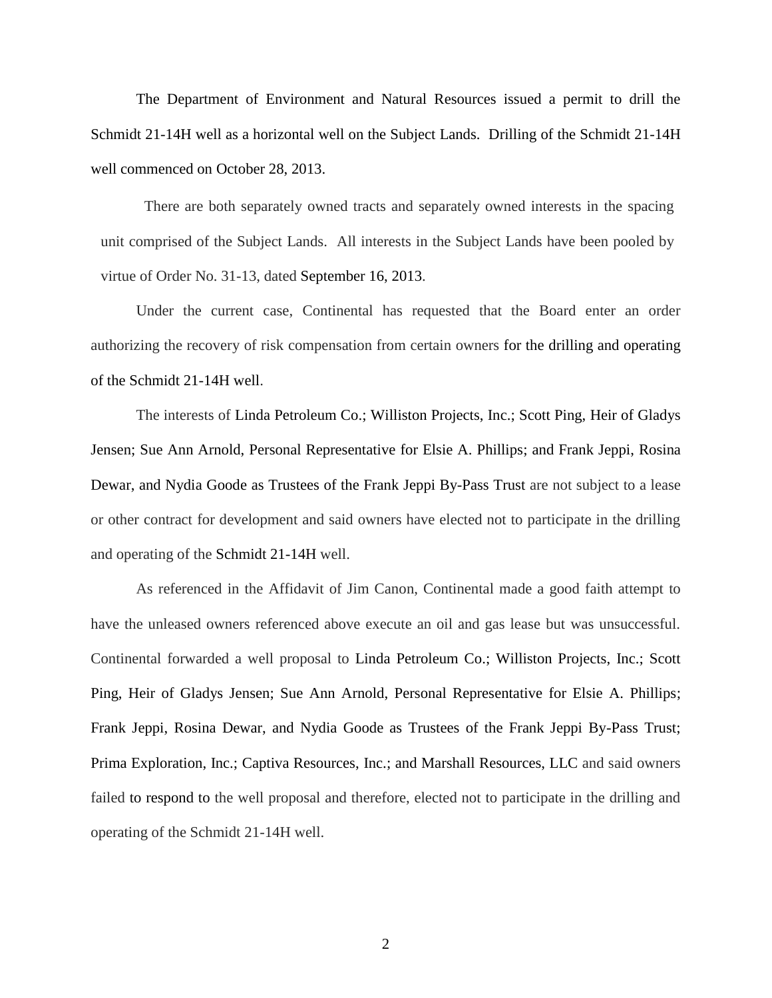The Department of Environment and Natural Resources issued a permit to drill the Schmidt 21-14H well as a horizontal well on the Subject Lands. Drilling of the Schmidt 21-14H well commenced on October 28, 2013.

There are both separately owned tracts and separately owned interests in the spacing unit comprised of the Subject Lands. All interests in the Subject Lands have been pooled by virtue of Order No. 31-13, dated September 16, 2013.

Under the current case, Continental has requested that the Board enter an order authorizing the recovery of risk compensation from certain owners for the drilling and operating of the Schmidt 21-14H well.

The interests of Linda Petroleum Co.; Williston Projects, Inc.; Scott Ping, Heir of Gladys Jensen; Sue Ann Arnold, Personal Representative for Elsie A. Phillips; and Frank Jeppi, Rosina Dewar, and Nydia Goode as Trustees of the Frank Jeppi By-Pass Trust are not subject to a lease or other contract for development and said owners have elected not to participate in the drilling and operating of the Schmidt 21-14H well.

As referenced in the Affidavit of Jim Canon, Continental made a good faith attempt to have the unleased owners referenced above execute an oil and gas lease but was unsuccessful. Continental forwarded a well proposal to Linda Petroleum Co.; Williston Projects, Inc.; Scott Ping, Heir of Gladys Jensen; Sue Ann Arnold, Personal Representative for Elsie A. Phillips; Frank Jeppi, Rosina Dewar, and Nydia Goode as Trustees of the Frank Jeppi By-Pass Trust; Prima Exploration, Inc.; Captiva Resources, Inc.; and Marshall Resources, LLC and said owners failed to respond to the well proposal and therefore, elected not to participate in the drilling and operating of the Schmidt 21-14H well.